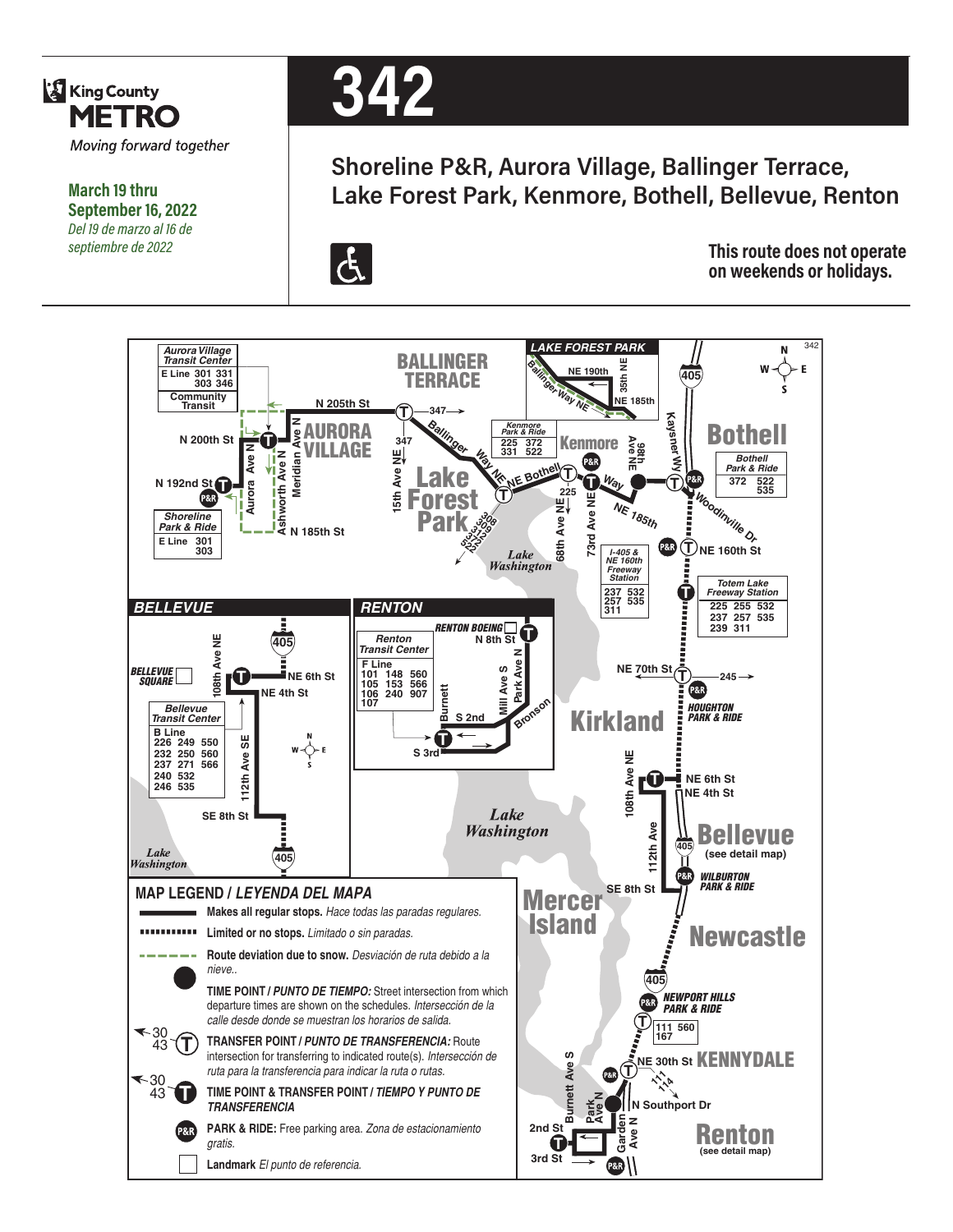

**March 19 thru September 16, 2022** *Del 19 de marzo al 16 de septiembre de 2022*



## **Shoreline P&R, Aurora Village, Ballinger Terrace, Lake Forest Park, Kenmore, Bothell, Bellevue, Renton**



**This route does not operate on weekends or holidays.**